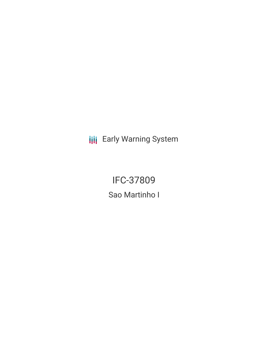**III** Early Warning System

IFC-37809 Sao Martinho I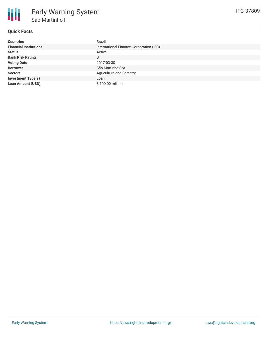

## **Quick Facts**

| <b>Countries</b>              | Brazil                                  |
|-------------------------------|-----------------------------------------|
| <b>Financial Institutions</b> | International Finance Corporation (IFC) |
| <b>Status</b>                 | Active                                  |
| <b>Bank Risk Rating</b>       | B                                       |
| <b>Voting Date</b>            | 2017-03-30                              |
| <b>Borrower</b>               | São Martinho S/A.                       |
| <b>Sectors</b>                | Agriculture and Forestry                |
| <b>Investment Type(s)</b>     | Loan                                    |
| <b>Loan Amount (USD)</b>      | \$100.00 million                        |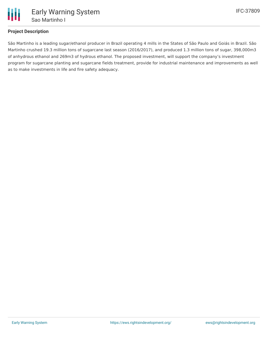

## **Project Description**

São Martinho is a leading sugar/ethanol producer in Brazil operating 4 mills in the States of São Paulo and Goiás in Brazil. São Martinho crushed 19.3 million tons of sugarcane last season (2016/2017), and produced 1.3 million tons of sugar, 398,000m3 of anhydrous ethanol and 269m3 of hydrous ethanol. The proposed investment, will support the company's investment program for sugarcane planting and sugarcane fields treatment, provide for industrial maintenance and improvements as well as to make investments in life and fire safety adequacy.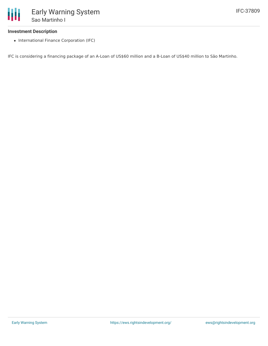## **Investment Description**

• International Finance Corporation (IFC)

IFC is considering a financing package of an A-Loan of US\$60 million and a B-Loan of US\$40 million to São Martinho.